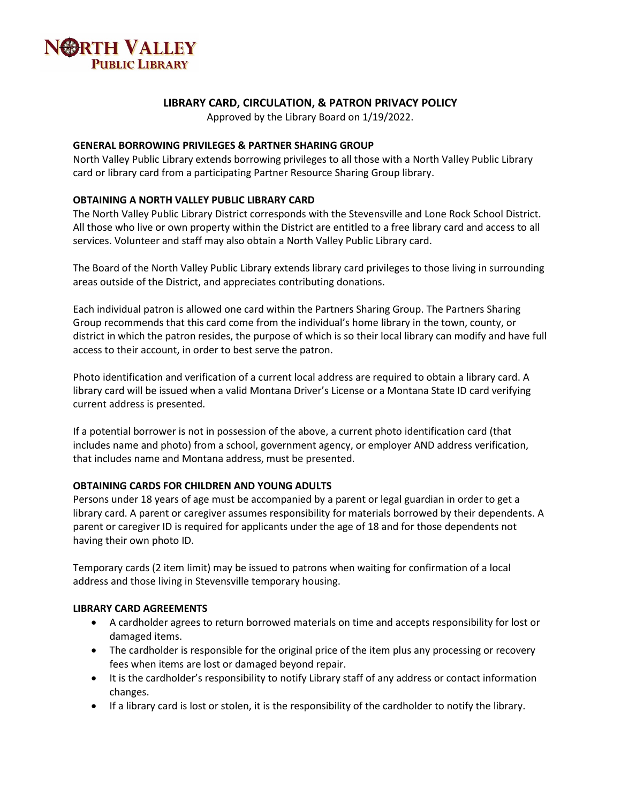

# **LIBRARY CARD, CIRCULATION, & PATRON PRIVACY POLICY**

Approved by the Library Board on 1/19/2022.

### **GENERAL BORROWING PRIVILEGES & PARTNER SHARING GROUP**

North Valley Public Library extends borrowing privileges to all those with a North Valley Public Library card or library card from a participating Partner Resource Sharing Group library.

# **OBTAINING A NORTH VALLEY PUBLIC LIBRARY CARD**

The North Valley Public Library District corresponds with the Stevensville and Lone Rock School District. All those who live or own property within the District are entitled to a free library card and access to all services. Volunteer and staff may also obtain a North Valley Public Library card.

The Board of the North Valley Public Library extends library card privileges to those living in surrounding areas outside of the District, and appreciates contributing donations.

Each individual patron is allowed one card within the Partners Sharing Group. The Partners Sharing Group recommends that this card come from the individual's home library in the town, county, or district in which the patron resides, the purpose of which is so their local library can modify and have full access to their account, in order to best serve the patron.

Photo identification and verification of a current local address are required to obtain a library card. A library card will be issued when a valid Montana Driver's License or a Montana State ID card verifying current address is presented.

If a potential borrower is not in possession of the above, a current photo identification card (that includes name and photo) from a school, government agency, or employer AND address verification, that includes name and Montana address, must be presented.

# **OBTAINING CARDS FOR CHILDREN AND YOUNG ADULTS**

Persons under 18 years of age must be accompanied by a parent or legal guardian in order to get a library card. A parent or caregiver assumes responsibility for materials borrowed by their dependents. A parent or caregiver ID is required for applicants under the age of 18 and for those dependents not having their own photo ID.

Temporary cards (2 item limit) may be issued to patrons when waiting for confirmation of a local address and those living in Stevensville temporary housing.

#### **LIBRARY CARD AGREEMENTS**

- A cardholder agrees to return borrowed materials on time and accepts responsibility for lost or damaged items.
- The cardholder is responsible for the original price of the item plus any processing or recovery fees when items are lost or damaged beyond repair.
- It is the cardholder's responsibility to notify Library staff of any address or contact information changes.
- If a library card is lost or stolen, it is the responsibility of the cardholder to notify the library.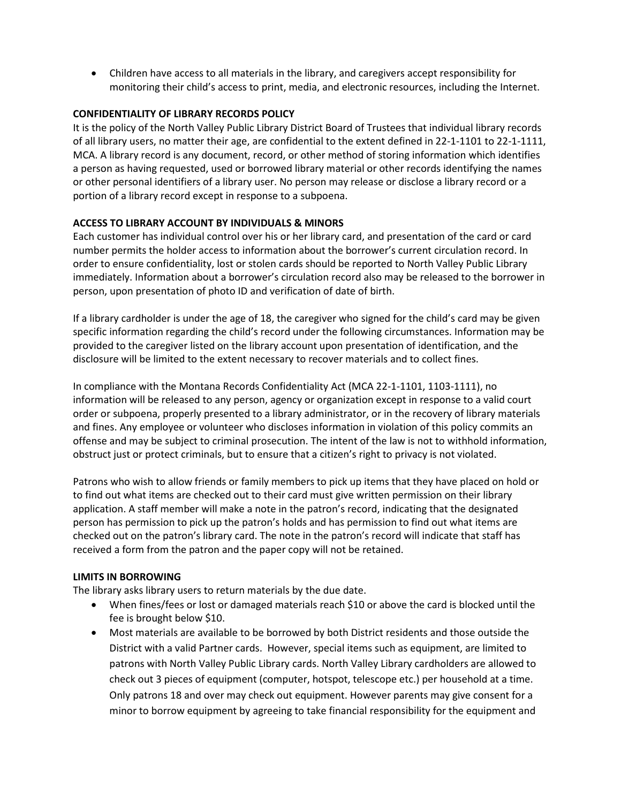• Children have access to all materials in the library, and caregivers accept responsibility for monitoring their child's access to print, media, and electronic resources, including the Internet.

# **CONFIDENTIALITY OF LIBRARY RECORDS POLICY**

It is the policy of the North Valley Public Library District Board of Trustees that individual library records of all library users, no matter their age, are confidential to the extent defined in 22-1-1101 to 22-1-1111, MCA. A library record is any document, record, or other method of storing information which identifies a person as having requested, used or borrowed library material or other records identifying the names or other personal identifiers of a library user. No person may release or disclose a library record or a portion of a library record except in response to a subpoena.

# **ACCESS TO LIBRARY ACCOUNT BY INDIVIDUALS & MINORS**

Each customer has individual control over his or her library card, and presentation of the card or card number permits the holder access to information about the borrower's current circulation record. In order to ensure confidentiality, lost or stolen cards should be reported to North Valley Public Library immediately. Information about a borrower's circulation record also may be released to the borrower in person, upon presentation of photo ID and verification of date of birth.

If a library cardholder is under the age of 18, the caregiver who signed for the child's card may be given specific information regarding the child's record under the following circumstances. Information may be provided to the caregiver listed on the library account upon presentation of identification, and the disclosure will be limited to the extent necessary to recover materials and to collect fines.

In compliance with the Montana Records Confidentiality Act (MCA 22-1-1101, 1103-1111), no information will be released to any person, agency or organization except in response to a valid court order or subpoena, properly presented to a library administrator, or in the recovery of library materials and fines. Any employee or volunteer who discloses information in violation of this policy commits an offense and may be subject to criminal prosecution. The intent of the law is not to withhold information, obstruct just or protect criminals, but to ensure that a citizen's right to privacy is not violated.

Patrons who wish to allow friends or family members to pick up items that they have placed on hold or to find out what items are checked out to their card must give written permission on their library application. A staff member will make a note in the patron's record, indicating that the designated person has permission to pick up the patron's holds and has permission to find out what items are checked out on the patron's library card. The note in the patron's record will indicate that staff has received a form from the patron and the paper copy will not be retained.

# **LIMITS IN BORROWING**

The library asks library users to return materials by the due date.

- When fines/fees or lost or damaged materials reach \$10 or above the card is blocked until the fee is brought below \$10.
- Most materials are available to be borrowed by both District residents and those outside the District with a valid Partner cards. However, special items such as equipment, are limited to patrons with North Valley Public Library cards. North Valley Library cardholders are allowed to check out 3 pieces of equipment (computer, hotspot, telescope etc.) per household at a time. Only patrons 18 and over may check out equipment. However parents may give consent for a minor to borrow equipment by agreeing to take financial responsibility for the equipment and